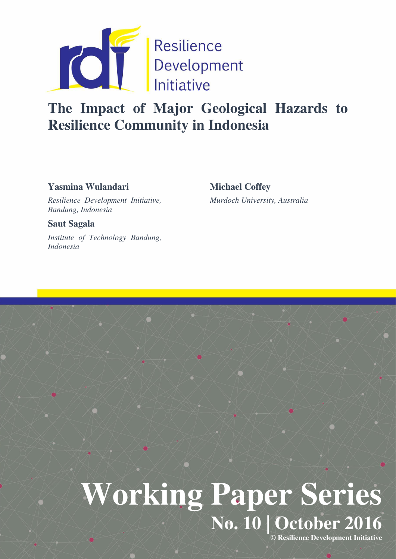

# **The Impact of Major Geological Hazards to Resilience Community in Indonesia**

# **Yasmina Wulandari**

**Michael Coffey** 

*Resilience Development Initiative, Bandung, Indonesia* 

**Saut Sagala** 

*Institute of Technology Bandung, Indonesia* 

# *Murdoch University, Australia*

# **Working Paper Series No. 10 | October 2016**

**© Resilience Development Initiative**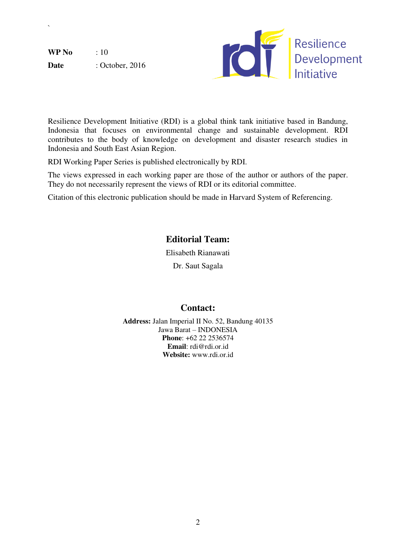**WP No** : 10 **Date** : October, 2016

`



Resilience Development Initiative (RDI) is a global think tank initiative based in Bandung, Indonesia that focuses on environmental change and sustainable development. RDI contributes to the body of knowledge on development and disaster research studies in Indonesia and South East Asian Region.

RDI Working Paper Series is published electronically by RDI.

The views expressed in each working paper are those of the author or authors of the paper. They do not necessarily represent the views of RDI or its editorial committee.

Citation of this electronic publication should be made in Harvard System of Referencing.

# **Editorial Team:**

Elisabeth Rianawati

Dr. Saut Sagala

# **Contact:**

**Address:** Jalan Imperial II No. 52, Bandung 40135 Jawa Barat – INDONESIA **Phone**: +62 22 2536574 **Email**: rdi@rdi.or.id **Website:** www.rdi.or.id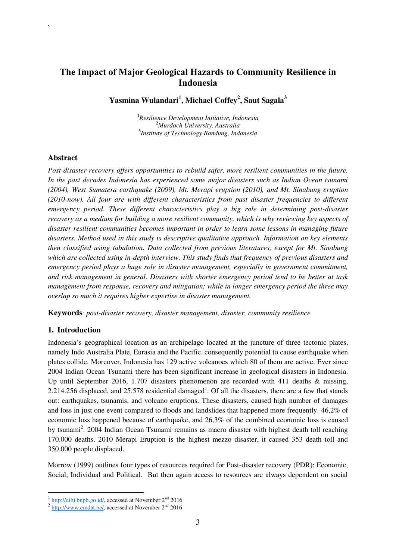### **The Impact of Major Geological Hazards to Community Resilience in Indonesia**

**Yasmina Wulandari<sup>1</sup> , Michael Coffey<sup>2</sup> , Saut Sagala<sup>3</sup>**

**<sup>1</sup>***Resilience Development Initiative, Indonesia*  **<sup>2</sup>***Murdoch University, Australia*  **3** *Institute of Technology Bandung, Indonesia* 

#### **Abstract**

`

*Post-disaster recovery offers opportunities to rebuild safer, more resilient communities in the future. In the past decades Indonesia has experienced some major disasters such as Indian Ocean tsunami (2004), West Sumatera earthquake (2009), Mt. Merapi eruption (2010), and Mt. Sinabung eruption (2010-now). All four are with different characteristics from past disaster frequencies to different emergency period. These different characteristics play a big role in determining post-disaster recovery as a medium for building a more resilient community, which is why reviewing key aspects of disaster resilient communities becomes important in order to learn some lessons in managing future disasters. Method used in this study is descriptive qualitative approach. Information on key elements then classified using tabulation. Data collected from previous literatures, except for Mt. Sinabung which are collected using in-depth interview. This study finds that frequency of previous disasters and emergency period plays a huge role in disaster management, especially in government commitment, and risk management in general. Disasters with shorter emergency period tend to be better at task management from response, recovery and mitigation; while in longer emergency period the three may overlap so much it requires higher expertise in disaster management.* 

**Keywords***: post-disaster recovery, disaster management, disaster, community resilience*

#### **1. Introduction**

Indonesia's geographical location as an archipelago located at the juncture of three tectonic plates, namely Indo Australia Plate, Eurasia and the Pacific, consequently potential to cause earthquake when plates collide. Moreover, Indonesia has 129 active volcanoes which 80 of them are active. Ever since 2004 Indian Ocean Tsunami there has been significant increase in geological disasters in Indonesia. Up until September 2016, 1.707 disasters phenomenon are recorded with 411 deaths & missing, 2.214.256 displaced, and  $25.578$  residential damaged<sup>1</sup>. Of all the disasters, there are a few that stands out: earthquakes, tsunamis, and volcano eruptions. These disasters, caused high number of damages and loss in just one event compared to floods and landslides that happened more frequently. 46,2% of economic loss happened because of earthquake, and 26,3% of the combined economic loss is caused by tsunami<sup>2</sup>. 2004 Indian Ocean Tsunami remains as macro disaster with highest death toll reaching 170.000 deaths. 2010 Merapi Eruption is the highest mezzo disaster, it caused 353 death toll and 350.000 people displaced.

Morrow (1999) outlines four types of resources required for Post-disaster recovery (PDR): Economic, Social, Individual and Political. But then again access to resources are always dependent on social

 $\frac{1 \text{ http://dibi.bnpb.gov.id/}}{$  accessed at November  $2^{\text{nd}}$  2016

 $2 \frac{\text{http://www.emdat.be/}}{\text{http://www.emdat.be/}}$  accessed at November  $2^{\text{nd}}$  2016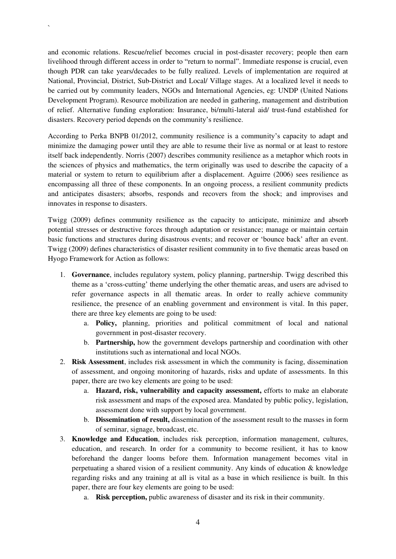and economic relations. Rescue/relief becomes crucial in post-disaster recovery; people then earn livelihood through different access in order to "return to normal". Immediate response is crucial, even though PDR can take years/decades to be fully realized. Levels of implementation are required at National, Provincial, District, Sub-District and Local/ Village stages. At a localized level it needs to be carried out by community leaders, NGOs and International Agencies, eg: UNDP (United Nations Development Program). Resource mobilization are needed in gathering, management and distribution of relief. Alternative funding exploration: Insurance, bi/multi-lateral aid/ trust-fund established for disasters. Recovery period depends on the community's resilience.

`

According to Perka BNPB 01/2012, community resilience is a community's capacity to adapt and minimize the damaging power until they are able to resume their live as normal or at least to restore itself back independently. Norris (2007) describes community resilience as a metaphor which roots in the sciences of physics and mathematics, the term originally was used to describe the capacity of a material or system to return to equilibrium after a displacement. Aguirre (2006) sees resilience as encompassing all three of these components. In an ongoing process, a resilient community predicts and anticipates disasters; absorbs, responds and recovers from the shock; and improvises and innovates in response to disasters.

Twigg (2009) defines community resilience as the capacity to anticipate, minimize and absorb potential stresses or destructive forces through adaptation or resistance; manage or maintain certain basic functions and structures during disastrous events; and recover or 'bounce back' after an event. Twigg (2009) defines characteristics of disaster resilient community in to five thematic areas based on Hyogo Framework for Action as follows:

- 1. **Governance**, includes regulatory system, policy planning, partnership. Twigg described this theme as a 'cross-cutting' theme underlying the other thematic areas, and users are advised to refer governance aspects in all thematic areas. In order to really achieve community resilience, the presence of an enabling government and environment is vital. In this paper, there are three key elements are going to be used:
	- a. **Policy,** planning, priorities and political commitment of local and national government in post-disaster recovery.
	- b. **Partnership,** how the government develops partnership and coordination with other institutions such as international and local NGOs.
- 2. **Risk Assessment**, includes risk assessment in which the community is facing, dissemination of assessment, and ongoing monitoring of hazards, risks and update of assessments. In this paper, there are two key elements are going to be used:
	- a. **Hazard, risk, vulnerability and capacity assessment,** efforts to make an elaborate risk assessment and maps of the exposed area. Mandated by public policy, legislation, assessment done with support by local government.
	- b. **Dissemination of result,** dissemination of the assessment result to the masses in form of seminar, signage, broadcast, etc.
- 3. **Knowledge and Education**, includes risk perception, information management, cultures, education, and research. In order for a community to become resilient, it has to know beforehand the danger looms before them. Information management becomes vital in perpetuating a shared vision of a resilient community. Any kinds of education & knowledge regarding risks and any training at all is vital as a base in which resilience is built. In this paper, there are four key elements are going to be used:
	- a. **Risk perception,** public awareness of disaster and its risk in their community.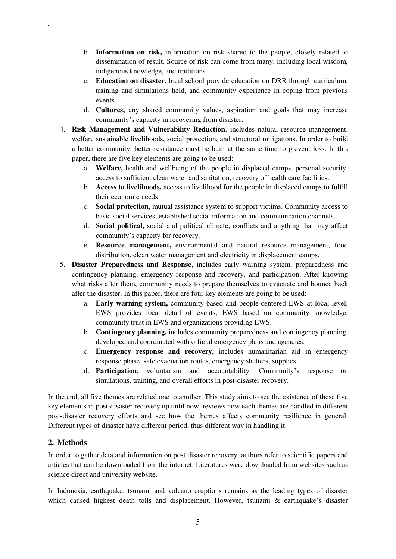- b. **Information on risk,** information on risk shared to the people, closely related to dissemination of result. Source of risk can come from many, including local wisdom, indigenous knowledge, and traditions.
- c. **Education on disaster,** local school provide education on DRR through curriculum, training and simulations held, and community experience in coping from previous events.
- d. **Cultures,** any shared community values, aspiration and goals that may increase community's capacity in recovering from disaster.
- 4. **Risk Management and Vulnerability Reduction**, includes natural resource management, welfare sustainable livelihoods, social protection, and structural mitigations. In order to build a better community, better resistance must be built at the same time to prevent loss. In this paper, there are five key elements are going to be used:
	- a. **Welfare,** health and wellbeing of the people in displaced camps, personal security, access to sufficient clean water and sanitation, recovery of health care facilities.
	- b. **Access to livelihoods,** access to livelihood for the people in displaced camps to fulfill their economic needs.
	- c. **Social protection,** mutual assistance system to support victims. Community access to basic social services, established social information and communication channels.
	- d. **Social political,** social and political climate, conflicts and anything that may affect community's capacity for recovery.
	- e. **Resource management,** environmental and natural resource management, food distribution, clean water management and electricity in displacement camps.
- 5. **Disaster Preparedness and Response**, includes early warning system, preparedness and contingency planning, emergency response and recovery, and participation. After knowing what risks after them, community needs to prepare themselves to evacuate and bounce back after the disaster. In this paper, there are four key elements are going to be used:
	- a. **Early warning system,** community-based and people-centered EWS at local level, EWS provides local detail of events, EWS based on community knowledge, community trust in EWS and organizations providing EWS.
	- b. **Contingency planning,** includes community preparedness and contingency planning, developed and coordinated with official emergency plans and agencies.
	- c. **Emergency response and recovery,** includes humanitarian aid in emergency response phase, safe evacuation routes, emergency shelters, supplies.
	- d. **Participation,** voluntarism and accountability. Community's response on simulations, training, and overall efforts in post-disaster recovery.

In the end, all five themes are related one to another. This study aims to see the existence of these five key elements in post-disaster recovery up until now, reviews how each themes are handled in different post-disaster recovery efforts and see how the themes affects community resilience in general. Different types of disaster have different period, thus different way in handling it.

#### **2. Methods**

`

In order to gather data and information on post disaster recovery, authors refer to scientific papers and articles that can be downloaded from the internet. Literatures were downloaded from websites such as science direct and university website.

In Indonesia, earthquake, tsunami and volcano eruptions remains as the leading types of disaster which caused highest death tolls and displacement. However, tsunami & earthquake's disaster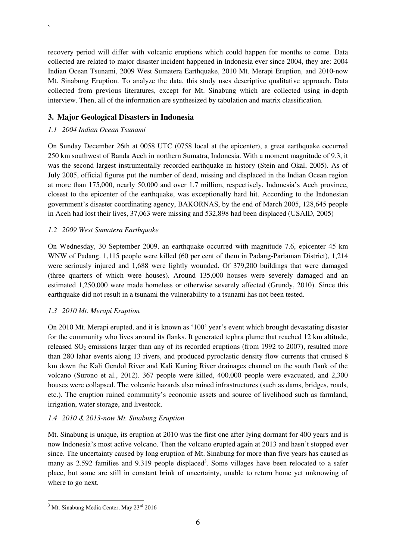recovery period will differ with volcanic eruptions which could happen for months to come. Data collected are related to major disaster incident happened in Indonesia ever since 2004, they are: 2004 Indian Ocean Tsunami, 2009 West Sumatera Earthquake, 2010 Mt. Merapi Eruption, and 2010-now Mt. Sinabung Eruption. To analyze the data, this study uses descriptive qualitative approach. Data collected from previous literatures, except for Mt. Sinabung which are collected using in-depth interview. Then, all of the information are synthesized by tabulation and matrix classification.

#### **3. Major Geological Disasters in Indonesia**

#### *1.1 2004 Indian Ocean Tsunami*

`

On Sunday December 26th at 0058 UTC (0758 local at the epicenter), a great earthquake occurred 250 km southwest of Banda Aceh in northern Sumatra, Indonesia. With a moment magnitude of 9.3, it was the second largest instrumentally recorded earthquake in history (Stein and Okal, 2005). As of July 2005, official figures put the number of dead, missing and displaced in the Indian Ocean region at more than 175,000, nearly 50,000 and over 1.7 million, respectively. Indonesia's Aceh province, closest to the epicenter of the earthquake, was exceptionally hard hit. According to the Indonesian government's disaster coordinating agency, BAKORNAS, by the end of March 2005, 128,645 people in Aceh had lost their lives, 37,063 were missing and 532,898 had been displaced (USAID, 2005)

#### *1.2 2009 West Sumatera Earthquake*

On Wednesday, 30 September 2009, an earthquake occurred with magnitude 7.6, epicenter 45 km WNW of Padang. 1,115 people were killed (60 per cent of them in Padang-Pariaman District), 1,214 were seriously injured and 1,688 were lightly wounded. Of 379,200 buildings that were damaged (three quarters of which were houses). Around 135,000 houses were severely damaged and an estimated 1,250,000 were made homeless or otherwise severely affected (Grundy, 2010). Since this earthquake did not result in a tsunami the vulnerability to a tsunami has not been tested.

#### *1.3 2010 Mt. Merapi Eruption*

On 2010 Mt. Merapi erupted, and it is known as '100' year's event which brought devastating disaster for the community who lives around its flanks. It generated tephra plume that reached 12 km altitude, released  $SO_2$  emissions larger than any of its recorded eruptions (from 1992 to 2007), resulted more than 280 lahar events along 13 rivers, and produced pyroclastic density flow currents that cruised 8 km down the Kali Gendol River and Kali Kuning River drainages channel on the south flank of the volcano (Surono et al., 2012). 367 people were killed, 400,000 people were evacuated, and 2,300 houses were collapsed. The volcanic hazards also ruined infrastructures (such as dams, bridges, roads, etc.). The eruption ruined community's economic assets and source of livelihood such as farmland, irrigation, water storage, and livestock.

#### *1.4 2010 & 2013-now Mt. Sinabung Eruption*

Mt. Sinabung is unique, its eruption at 2010 was the first one after lying dormant for 400 years and is now Indonesia's most active volcano. Then the volcano erupted again at 2013 and hasn't stopped ever since. The uncertainty caused by long eruption of Mt. Sinabung for more than five years has caused as many as 2.592 families and 9.319 people displaced<sup>3</sup>. Some villages have been relocated to a safer place, but some are still in constant brink of uncertainty, unable to return home yet unknowing of where to go next.

<sup>&</sup>lt;sup>3</sup> Mt. Sinabung Media Center, May 23<sup>rd</sup> 2016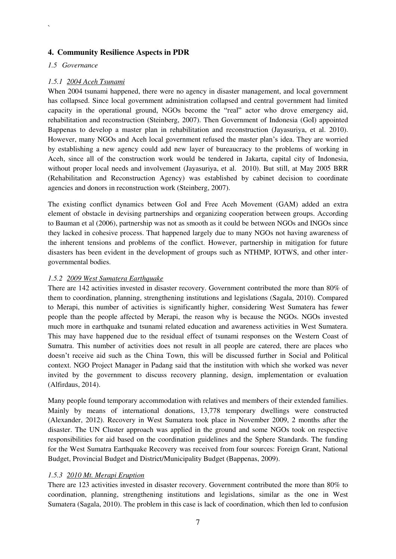#### **4. Community Resilience Aspects in PDR**

#### *1.5 Governance*

`

#### *1.5.1 2004 Aceh Tsunami*

When 2004 tsunami happened, there were no agency in disaster management, and local government has collapsed. Since local government administration collapsed and central government had limited capacity in the operational ground, NGOs become the "real" actor who drove emergency aid, rehabilitation and reconstruction (Steinberg, 2007). Then Government of Indonesia (GoI) appointed Bappenas to develop a master plan in rehabilitation and reconstruction (Jayasuriya, et al. 2010). However, many NGOs and Aceh local government refused the master plan's idea. They are worried by establishing a new agency could add new layer of bureaucracy to the problems of working in Aceh, since all of the construction work would be tendered in Jakarta, capital city of Indonesia, without proper local needs and involvement (Jayasuriya, et al. 2010). But still, at May 2005 BRR (Rehabilitation and Reconstruction Agency) was established by cabinet decision to coordinate agencies and donors in reconstruction work (Steinberg, 2007).

The existing conflict dynamics between GoI and Free Aceh Movement (GAM) added an extra element of obstacle in devising partnerships and organizing cooperation between groups. According to Bauman et al (2006), partnership was not as smooth as it could be between NGOs and INGOs since they lacked in cohesive process. That happened largely due to many NGOs not having awareness of the inherent tensions and problems of the conflict. However, partnership in mitigation for future disasters has been evident in the development of groups such as NTHMP, IOTWS, and other intergovernmental bodies.

#### *1.5.2 2009 West Sumatera Earthquake*

There are 142 activities invested in disaster recovery. Government contributed the more than 80% of them to coordination, planning, strengthening institutions and legislations (Sagala, 2010). Compared to Merapi, this number of activities is significantly higher, considering West Sumatera has fewer people than the people affected by Merapi, the reason why is because the NGOs. NGOs invested much more in earthquake and tsunami related education and awareness activities in West Sumatera. This may have happened due to the residual effect of tsunami responses on the Western Coast of Sumatra. This number of activities does not result in all people are catered, there are places who doesn't receive aid such as the China Town, this will be discussed further in Social and Political context. NGO Project Manager in Padang said that the institution with which she worked was never invited by the government to discuss recovery planning, design, implementation or evaluation (Alfirdaus, 2014).

Many people found temporary accommodation with relatives and members of their extended families. Mainly by means of international donations, 13,778 temporary dwellings were constructed (Alexander, 2012). Recovery in West Sumatera took place in November 2009, 2 months after the disaster. The UN Cluster approach was applied in the ground and some NGOs took on respective responsibilities for aid based on the coordination guidelines and the Sphere Standards. The funding for the West Sumatra Earthquake Recovery was received from four sources: Foreign Grant, National Budget, Provincial Budget and District/Municipality Budget (Bappenas, 2009).

#### *1.5.3 2010 Mt. Merapi Eruption*

There are 123 activities invested in disaster recovery. Government contributed the more than 80% to coordination, planning, strengthening institutions and legislations, similar as the one in West Sumatera (Sagala, 2010). The problem in this case is lack of coordination, which then led to confusion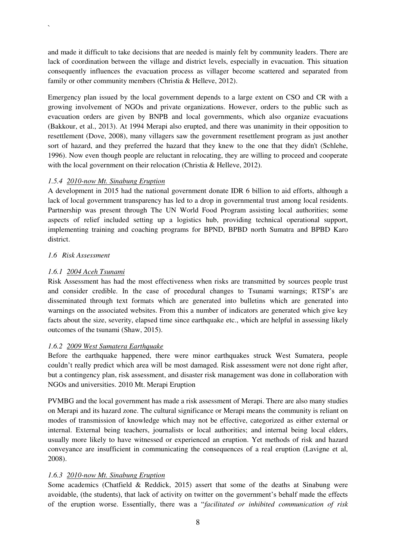and made it difficult to take decisions that are needed is mainly felt by community leaders. There are lack of coordination between the village and district levels, especially in evacuation. This situation consequently influences the evacuation process as villager become scattered and separated from family or other community members (Christia & Helleve, 2012).

Emergency plan issued by the local government depends to a large extent on CSO and CR with a growing involvement of NGOs and private organizations. However, orders to the public such as evacuation orders are given by BNPB and local governments, which also organize evacuations (Bakkour, et al., 2013). At 1994 Merapi also erupted, and there was unanimity in their opposition to resettlement (Dove, 2008), many villagers saw the government resettlement program as just another sort of hazard, and they preferred the hazard that they knew to the one that they didn't (Schlehe, 1996). Now even though people are reluctant in relocating, they are willing to proceed and cooperate with the local government on their relocation (Christia & Helleve, 2012).

#### *1.5.4 2010-now Mt. Sinabung Eruption*

A development in 2015 had the national government donate IDR 6 billion to aid efforts, although a lack of local government transparency has led to a drop in governmental trust among local residents. Partnership was present through The UN World Food Program assisting local authorities; some aspects of relief included setting up a logistics hub, providing technical operational support, implementing training and coaching programs for BPND, BPBD north Sumatra and BPBD Karo district.

#### *1.6 Risk Assessment*

`

#### *1.6.1 2004 Aceh Tsunami*

Risk Assessment has had the most effectiveness when risks are transmitted by sources people trust and consider credible. In the case of procedural changes to Tsunami warnings; RTSP's are disseminated through text formats which are generated into bulletins which are generated into warnings on the associated websites. From this a number of indicators are generated which give key facts about the size, severity, elapsed time since earthquake etc., which are helpful in assessing likely outcomes of the tsunami (Shaw, 2015).

#### *1.6.2 2009 West Sumatera Earthquake*

Before the earthquake happened, there were minor earthquakes struck West Sumatera, people couldn't really predict which area will be most damaged. Risk assessment were not done right after, but a contingency plan, risk assessment, and disaster risk management was done in collaboration with NGOs and universities. 2010 Mt. Merapi Eruption

PVMBG and the local government has made a risk assessment of Merapi. There are also many studies on Merapi and its hazard zone. The cultural significance or Merapi means the community is reliant on modes of transmission of knowledge which may not be effective, categorized as either external or internal. External being teachers, journalists or local authorities; and internal being local elders, usually more likely to have witnessed or experienced an eruption. Yet methods of risk and hazard conveyance are insufficient in communicating the consequences of a real eruption (Lavigne et al, 2008).

#### *1.6.3 2010-now Mt. Sinabung Eruption*

Some academics (Chatfield & Reddick, 2015) assert that some of the deaths at Sinabung were avoidable, (the students), that lack of activity on twitter on the government's behalf made the effects of the eruption worse. Essentially, there was a "*facilitated or inhibited communication of risk*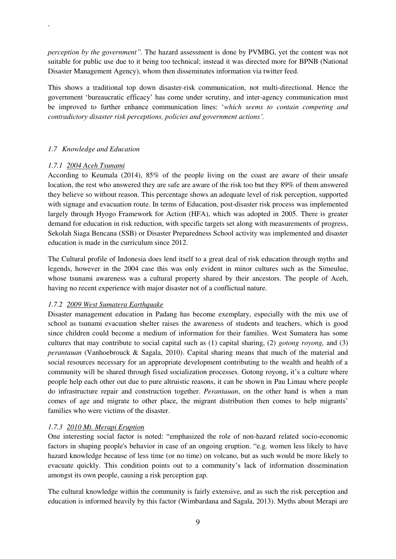*perception by the government".* The hazard assessment is done by PVMBG, yet the content was not suitable for public use due to it being too technical; instead it was directed more for BPNB (National Disaster Management Agency), whom then disseminates information via twitter feed.

This shows a traditional top down disaster-risk communication, not multi-directional. Hence the government 'bureaucratic efficacy' has come under scrutiny, and inter-agency communication must be improved to further enhance communication lines: '*which seems to contain competing and contradictory disaster risk perceptions, policies and government actions'.* 

#### *1.7 Knowledge and Education*

#### *1.7.1 2004 Aceh Tsunami*

`

According to Keumala (2014), 85% of the people living on the coast are aware of their unsafe location, the rest who answered they are safe are aware of the risk too but they 89% of them answered they believe so without reason. This percentage shows an adequate level of risk perception, supported with signage and evacuation route. In terms of Education, post-disaster risk process was implemented largely through Hyogo Framework for Action (HFA), which was adopted in 2005. There is greater demand for education in risk reduction, with specific targets set along with measurements of progress, Sekolah Siaga Bencana (SSB) or Disaster Preparedness School activity was implemented and disaster education is made in the curriculum since 2012.

The Cultural profile of Indonesia does lend itself to a great deal of risk education through myths and legends, however in the 2004 case this was only evident in minor cultures such as the Simeulue, whose tsunami awareness was a cultural property shared by their ancestors. The people of Aceh, having no recent experience with major disaster not of a conflictual nature.

#### *1.7.2 2009 West Sumatera Earthquake*

Disaster management education in Padang has become exemplary, especially with the mix use of school as tsunami evacuation shelter raises the awareness of students and teachers, which is good since children could become a medium of information for their families. West Sumatera has some cultures that may contribute to social capital such as (1) capital sharing, (2) *gotong royong,* and (3) *perantauan* (Vanhoebrouck & Sagala, 2010). Capital sharing means that much of the material and social resources necessary for an appropriate development contributing to the wealth and health of a community will be shared through fixed socialization processes. Gotong royong, it's a culture where people help each other out due to pure altruistic reasons, it can be shown in Pau Limau where people do infrastructure repair and construction together. *Perantauan*, on the other hand is when a man comes of age and migrate to other place, the migrant distribution then comes to help migrants' families who were victims of the disaster.

#### *1.7.3 2010 Mt. Merapi Eruption*

One interesting social factor is noted: "emphasized the role of non-hazard related socio-economic factors in shaping people's behavior in case of an ongoing eruption. "e.g. women less likely to have hazard knowledge because of less time (or no time) on volcano, but as such would be more likely to evacuate quickly. This condition points out to a community's lack of information dissemination amongst its own people, causing a risk perception gap.

The cultural knowledge within the community is fairly extensive, and as such the risk perception and education is informed heavily by this factor (Wimbardana and Sagala, 2013). Myths about Merapi are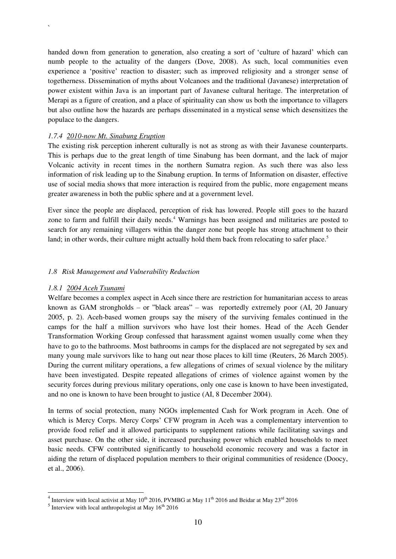handed down from generation to generation, also creating a sort of 'culture of hazard' which can numb people to the actuality of the dangers (Dove, 2008). As such, local communities even experience a 'positive' reaction to disaster; such as improved religiosity and a stronger sense of togetherness. Dissemination of myths about Volcanoes and the traditional (Javanese) interpretation of power existent within Java is an important part of Javanese cultural heritage. The interpretation of Merapi as a figure of creation, and a place of spirituality can show us both the importance to villagers but also outline how the hazards are perhaps disseminated in a mystical sense which desensitizes the populace to the dangers.

#### *1.7.4 2010-now Mt. Sinabung Eruption*

`

The existing risk perception inherent culturally is not as strong as with their Javanese counterparts. This is perhaps due to the great length of time Sinabung has been dormant, and the lack of major Volcanic activity in recent times in the northern Sumatra region. As such there was also less information of risk leading up to the Sinabung eruption. In terms of Information on disaster, effective use of social media shows that more interaction is required from the public, more engagement means greater awareness in both the public sphere and at a government level.

Ever since the people are displaced, perception of risk has lowered. People still goes to the hazard zone to farm and fulfill their daily needs.<sup>4</sup> Warnings has been assigned and militaries are posted to search for any remaining villagers within the danger zone but people has strong attachment to their land; in other words, their culture might actually hold them back from relocating to safer place.<sup>5</sup>

#### *1.8 Risk Management and Vulnerability Reduction*

#### *1.8.1 2004 Aceh Tsunami*

Welfare becomes a complex aspect in Aceh since there are restriction for humanitarian access to areas known as GAM strongholds – or "black areas" – was reportedly extremely poor (AI, 20 January 2005, p. 2). Aceh-based women groups say the misery of the surviving females continued in the camps for the half a million survivors who have lost their homes. Head of the Aceh Gender Transformation Working Group confessed that harassment against women usually come when they have to go to the bathrooms. Most bathrooms in camps for the displaced are not segregated by sex and many young male survivors like to hang out near those places to kill time (Reuters, 26 March 2005). During the current military operations, a few allegations of crimes of sexual violence by the military have been investigated. Despite repeated allegations of crimes of violence against women by the security forces during previous military operations, only one case is known to have been investigated, and no one is known to have been brought to justice (AI, 8 December 2004).

In terms of social protection, many NGOs implemented Cash for Work program in Aceh. One of which is Mercy Corps. Mercy Corps' CFW program in Aceh was a complementary intervention to provide food relief and it allowed participants to supplement rations while facilitating savings and asset purchase. On the other side, it increased purchasing power which enabled households to meet basic needs. CFW contributed significantly to household economic recovery and was a factor in aiding the return of displaced population members to their original communities of residence (Doocy, et al., 2006).

 $\frac{4}{100}$  Interview with local activist at May 10<sup>th</sup> 2016, PVMBG at May 11<sup>th</sup> 2016 and Beidar at May 23<sup>rd</sup> 2016

 $<sup>5</sup>$  Interview with local anthropologist at May 16<sup>th</sup> 2016</sup>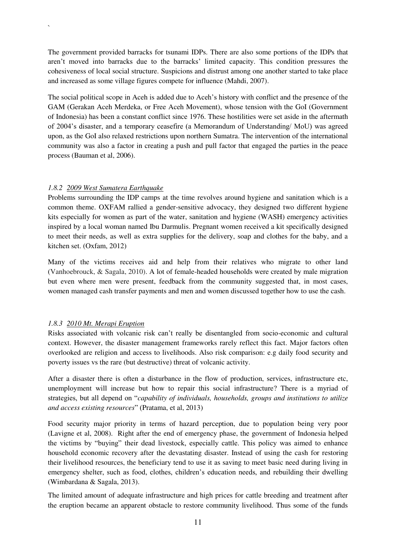The government provided barracks for tsunami IDPs. There are also some portions of the IDPs that aren't moved into barracks due to the barracks' limited capacity. This condition pressures the cohesiveness of local social structure. Suspicions and distrust among one another started to take place and increased as some village figures compete for influence (Mahdi, 2007).

The social political scope in Aceh is added due to Aceh's history with conflict and the presence of the GAM (Gerakan Aceh Merdeka, or Free Aceh Movement), whose tension with the GoI (Government of Indonesia) has been a constant conflict since 1976. These hostilities were set aside in the aftermath of 2004's disaster, and a temporary ceasefire (a Memorandum of Understanding/ MoU) was agreed upon, as the GoI also relaxed restrictions upon northern Sumatra. The intervention of the international community was also a factor in creating a push and pull factor that engaged the parties in the peace process (Bauman et al, 2006).

#### *1.8.2 2009 West Sumatera Earthquake*

`

Problems surrounding the IDP camps at the time revolves around hygiene and sanitation which is a common theme. OXFAM rallied a gender-sensitive advocacy, they designed two different hygiene kits especially for women as part of the water, sanitation and hygiene (WASH) emergency activities inspired by a local woman named Ibu Darmulis. Pregnant women received a kit specifically designed to meet their needs, as well as extra supplies for the delivery, soap and clothes for the baby, and a kitchen set. (Oxfam, 2012)

Many of the victims receives aid and help from their relatives who migrate to other land (Vanhoebrouck, & Sagala, 2010). A lot of female-headed households were created by male migration but even where men were present, feedback from the community suggested that, in most cases, women managed cash transfer payments and men and women discussed together how to use the cash.

#### *1.8.3 2010 Mt. Merapi Eruption*

Risks associated with volcanic risk can't really be disentangled from socio-economic and cultural context. However, the disaster management frameworks rarely reflect this fact. Major factors often overlooked are religion and access to livelihoods. Also risk comparison: e.g daily food security and poverty issues vs the rare (but destructive) threat of volcanic activity.

After a disaster there is often a disturbance in the flow of production, services, infrastructure etc, unemployment will increase but how to repair this social infrastructure? There is a myriad of strategies, but all depend on "*capability of individuals, households, groups and institutions to utilize and access existing resources*" (Pratama, et al, 2013)

Food security major priority in terms of hazard perception, due to population being very poor (Lavigne et al, 2008). Right after the end of emergency phase, the government of Indonesia helped the victims by "buying" their dead livestock, especially cattle. This policy was aimed to enhance household economic recovery after the devastating disaster. Instead of using the cash for restoring their livelihood resources, the beneficiary tend to use it as saving to meet basic need during living in emergency shelter, such as food, clothes, children's education needs, and rebuilding their dwelling (Wimbardana & Sagala, 2013).

The limited amount of adequate infrastructure and high prices for cattle breeding and treatment after the eruption became an apparent obstacle to restore community livelihood. Thus some of the funds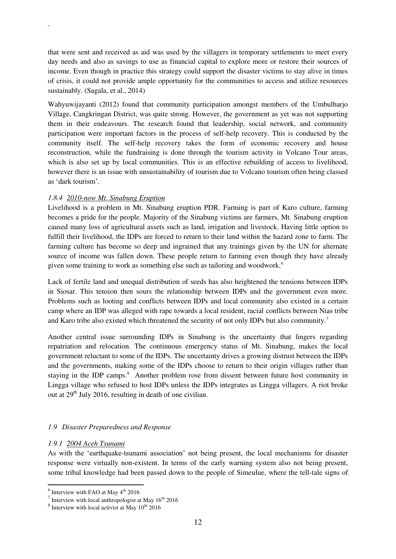that were sent and received as aid was used by the villagers in temporary settlements to meet every day needs and also as savings to use as financial capital to explore more or restore their sources of income. Even though in practice this strategy could support the disaster victims to stay alive in times of crisis, it could not provide ample opportunity for the communities to access and utilize resources sustainably. (Sagala, et al., 2014)

Wahyuwijayanti (2012) found that community participation amongst members of the Umbulharjo Village, Cangkringan District, was quite strong. However, the government as yet was not supporting them in their endeavours. The research found that leadership, social network, and community participation were important factors in the process of self-help recovery. This is conducted by the community itself. The self-help recovery takes the form of economic recovery and house reconstruction, while the fundraising is done through the tourism activity in Volcano Tour areas, which is also set up by local communities. This is an effective rebuilding of access to livelihood, however there is an issue with unsustainability of tourism due to Volcano tourism often being classed as 'dark tourism'.

#### *1.8.4 2010-now Mt. Sinabung Eruption*

`

Livelihood is a problem in Mt. Sinabung eruption PDR. Farming is part of Karo culture, farming becomes a pride for the people. Majority of the Sinabung victims are farmers, Mt. Sinabung eruption caused many loss of agricultural assets such as land, irrigation and livestock. Having little option to fulfill their livelihood, the IDPs are forced to return to their land within the hazard zone to farm. The farming culture has become so deep and ingrained that any trainings given by the UN for alternate source of income was fallen down. These people return to farming even though they have already given some training to work as something else such as tailoring and woodwork.<sup>6</sup>

Lack of fertile land and unequal distribution of seeds has also heightened the tensions between IDPs in Siosar. This tension then sours the relationship between IDPs and the government even more. Problems such as looting and conflicts between IDPs and local community also existed in a certain camp where an IDP was alleged with rape towards a local resident, racial conflicts between Nias tribe and Karo tribe also existed which threatened the security of not only IDPs but also community.<sup>7</sup>

Another central issue surrounding IDPs in Sinabung is the uncertainty that lingers regarding repatriation and relocation. The continuous emergency status of Mt. Sinabung, makes the local government reluctant to some of the IDPs. The uncertainty drives a growing distrust between the IDPs and the governments, making some of the IDPs choose to return to their origin villages rather than staying in the IDP camps.<sup>8</sup> Another problem rose from dissent between future host community in Lingga village who refused to host IDPs unless the IDPs integrates as Lingga villagers. A riot broke out at  $29<sup>th</sup>$  July 2016, resulting in death of one civilian.

#### *1.9 Disaster Preparedness and Response*

#### *1.9.1 2004 Aceh Tsunami*

As with the 'earthquake-tsunami association' not being present, the local mechanisms for disaster response were virtually non-existent. In terms of the early warning system also not being present, some tribal knowledge had been passed down to the people of Simeulue, where the tell-tale signs of

 $\frac{6}{10}$  Interview with FAO at May 4<sup>th</sup> 2016

 $7$  Interview with local anthropologist at May  $16^{th}$  2016

 $8$  Interview with local activist at May  $10^{th}$  2016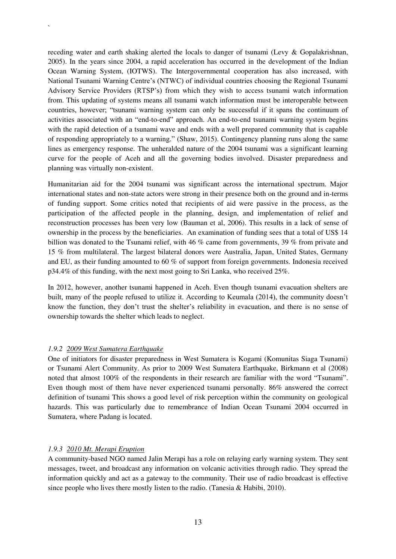receding water and earth shaking alerted the locals to danger of tsunami (Levy & Gopalakrishnan, 2005). In the years since 2004, a rapid acceleration has occurred in the development of the Indian Ocean Warning System, (IOTWS). The Intergovernmental cooperation has also increased, with National Tsunami Warning Centre's (NTWC) of individual countries choosing the Regional Tsunami Advisory Service Providers (RTSP's) from which they wish to access tsunami watch information from. This updating of systems means all tsunami watch information must be interoperable between countries, however; "tsunami warning system can only be successful if it spans the continuum of activities associated with an "end-to-end" approach. An end-to-end tsunami warning system begins with the rapid detection of a tsunami wave and ends with a well prepared community that is capable of responding appropriately to a warning." (Shaw, 2015). Contingency planning runs along the same lines as emergency response. The unheralded nature of the 2004 tsunami was a significant learning curve for the people of Aceh and all the governing bodies involved. Disaster preparedness and planning was virtually non-existent.

Humanitarian aid for the 2004 tsunami was significant across the international spectrum. Major international states and non-state actors were strong in their presence both on the ground and in-terms of funding support. Some critics noted that recipients of aid were passive in the process, as the participation of the affected people in the planning, design, and implementation of relief and reconstruction processes has been very low (Bauman et al, 2006). This results in a lack of sense of ownership in the process by the beneficiaries. An examination of funding sees that a total of US\$ 14 billion was donated to the Tsunami relief, with 46 % came from governments, 39 % from private and 15 % from multilateral. The largest bilateral donors were Australia, Japan, United States, Germany and EU, as their funding amounted to 60 % of support from foreign governments. Indonesia received p34.4% of this funding, with the next most going to Sri Lanka, who received 25%.

In 2012, however, another tsunami happened in Aceh. Even though tsunami evacuation shelters are built, many of the people refused to utilize it. According to Keumala (2014), the community doesn't know the function, they don't trust the shelter's reliability in evacuation, and there is no sense of ownership towards the shelter which leads to neglect.

#### *1.9.2 2009 West Sumatera Earthquake*

`

One of initiators for disaster preparedness in West Sumatera is Kogami (Komunitas Siaga Tsunami) or Tsunami Alert Community. As prior to 2009 West Sumatera Earthquake, Birkmann et al (2008) noted that almost 100% of the respondents in their research are familiar with the word "Tsunami". Even though most of them have never experienced tsunami personally. 86% answered the correct definition of tsunami This shows a good level of risk perception within the community on geological hazards. This was particularly due to remembrance of Indian Ocean Tsunami 2004 occurred in Sumatera, where Padang is located.

#### *1.9.3 2010 Mt. Merapi Eruption*

A community-based NGO named Jalin Merapi has a role on relaying early warning system. They sent messages, tweet, and broadcast any information on volcanic activities through radio. They spread the information quickly and act as a gateway to the community. Their use of radio broadcast is effective since people who lives there mostly listen to the radio. (Tanesia  $\&$  Habibi, 2010).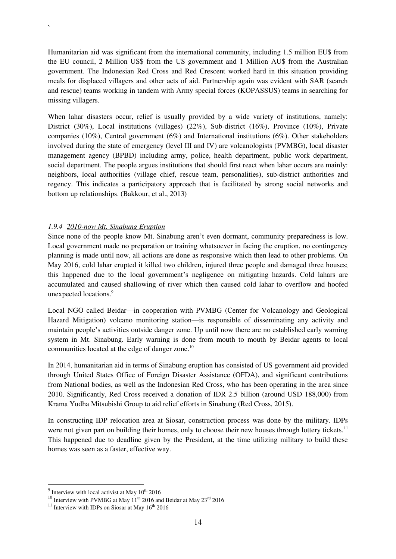Humanitarian aid was significant from the international community, including 1.5 million EU\$ from the EU council, 2 Million US\$ from the US government and 1 Million AU\$ from the Australian government. The Indonesian Red Cross and Red Crescent worked hard in this situation providing meals for displaced villagers and other acts of aid. Partnership again was evident with SAR (search and rescue) teams working in tandem with Army special forces (KOPASSUS) teams in searching for missing villagers.

When lahar disasters occur, relief is usually provided by a wide variety of institutions, namely: District (30%), Local institutions (villages) (22%), Sub-district (16%), Province (10%), Private companies (10%), Central government (6%) and International institutions (6%). Other stakeholders involved during the state of emergency (level III and IV) are volcanologists (PVMBG), local disaster management agency (BPBD) including army, police, health department, public work department, social department. The people argues institutions that should first react when lahar occurs are mainly: neighbors, local authorities (village chief, rescue team, personalities), sub-district authorities and regency. This indicates a participatory approach that is facilitated by strong social networks and bottom up relationships. (Bakkour, et al., 2013)

#### *1.9.4 2010-now Mt. Sinabung Eruption*

`

Since none of the people know Mt. Sinabung aren't even dormant, community preparedness is low. Local government made no preparation or training whatsoever in facing the eruption, no contingency planning is made until now, all actions are done as responsive which then lead to other problems. On May 2016, cold lahar erupted it killed two children, injured three people and damaged three houses; this happened due to the local government's negligence on mitigating hazards. Cold lahars are accumulated and caused shallowing of river which then caused cold lahar to overflow and hoofed unexpected locations.<sup>9</sup>

Local NGO called Beidar—in cooperation with PVMBG (Center for Volcanology and Geological Hazard Mitigation) volcano monitoring station—is responsible of disseminating any activity and maintain people's activities outside danger zone. Up until now there are no established early warning system in Mt. Sinabung. Early warning is done from mouth to mouth by Beidar agents to local communities located at the edge of danger zone.<sup>10</sup>

In 2014, humanitarian aid in terms of Sinabung eruption has consisted of US government aid provided through United States Office of Foreign Disaster Assistance (OFDA), and significant contributions from National bodies, as well as the Indonesian Red Cross, who has been operating in the area since 2010. Significantly, Red Cross received a donation of IDR 2.5 billion (around USD 188,000) from Krama Yudha Mitsubishi Group to aid relief efforts in Sinabung (Red Cross, 2015).

In constructing IDP relocation area at Siosar, construction process was done by the military. IDPs were not given part on building their homes, only to choose their new houses through lottery tickets.<sup>11</sup> This happened due to deadline given by the President, at the time utilizing military to build these homes was seen as a faster, effective way.

 $\frac{9}{9}$  Interview with local activist at May  $10^{th}$  2016

<sup>&</sup>lt;sup>10</sup> Interview with PVMBG at May  $11<sup>th</sup>$  2016 and Beidar at May  $23<sup>rd</sup>$  2016

<sup>&</sup>lt;sup>11</sup> Interview with IDPs on Siosar at May  $16^{th}$  2016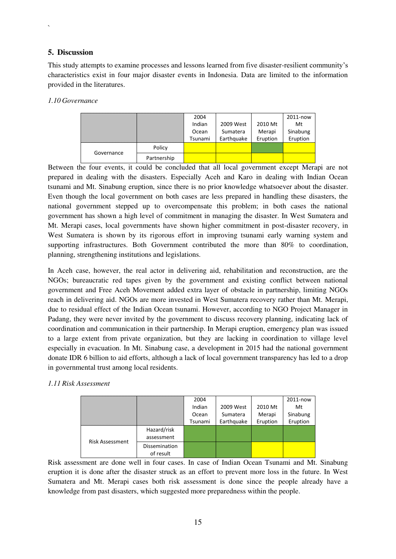#### **5. Discussion**

 $\ddot{\phantom{0}}$ 

This study attempts to examine processes and lessons learned from five disaster-resilient community's characteristics exist in four major disaster events in Indonesia. Data are limited to the information provided in the literatures.

#### *1.10 Governance*

|            |             | 2004    |            |          | 2011-now |
|------------|-------------|---------|------------|----------|----------|
|            |             | Indian  | 2009 West  | 2010 Mt  | Mt       |
|            |             | Ocean   | Sumatera   | Merapi   | Sinabung |
|            |             | Tsunami | Earthquake | Eruption | Eruption |
| Governance | Policy      |         |            |          |          |
|            | Partnership |         |            |          |          |

Between the four events, it could be concluded that all local government except Merapi are not prepared in dealing with the disasters. Especially Aceh and Karo in dealing with Indian Ocean tsunami and Mt. Sinabung eruption, since there is no prior knowledge whatsoever about the disaster. Even though the local government on both cases are less prepared in handling these disasters, the national government stepped up to overcompensate this problem; in both cases the national government has shown a high level of commitment in managing the disaster. In West Sumatera and Mt. Merapi cases, local governments have shown higher commitment in post-disaster recovery, in West Sumatera is shown by its rigorous effort in improving tsunami early warning system and supporting infrastructures. Both Government contributed the more than 80% to coordination, planning, strengthening institutions and legislations.

In Aceh case, however, the real actor in delivering aid, rehabilitation and reconstruction, are the NGOs; bureaucratic red tapes given by the government and existing conflict between national government and Free Aceh Movement added extra layer of obstacle in partnership, limiting NGOs reach in delivering aid. NGOs are more invested in West Sumatera recovery rather than Mt. Merapi, due to residual effect of the Indian Ocean tsunami. However, according to NGO Project Manager in Padang, they were never invited by the government to discuss recovery planning, indicating lack of coordination and communication in their partnership. In Merapi eruption, emergency plan was issued to a large extent from private organization, but they are lacking in coordination to village level especially in evacuation. In Mt. Sinabung case, a development in 2015 had the national government donate IDR 6 billion to aid efforts, although a lack of local government transparency has led to a drop in governmental trust among local residents.

#### *1.11 Risk Assessment*

|                        |                                   | 2004<br>Indian<br>Ocean | 2009 West<br>Sumatera | 2010 Mt<br>Merapi | 2011-now<br>Mt<br>Sinabung |
|------------------------|-----------------------------------|-------------------------|-----------------------|-------------------|----------------------------|
|                        |                                   | Tsunami                 | Earthquake            | Eruption          | Eruption                   |
| <b>Risk Assessment</b> | Hazard/risk                       |                         |                       |                   |                            |
|                        | assessment                        |                         |                       |                   |                            |
|                        | <b>Dissemination</b><br>of result |                         |                       |                   |                            |

Risk assessment are done well in four cases. In case of Indian Ocean Tsunami and Mt. Sinabung eruption it is done after the disaster struck as an effort to prevent more loss in the future. In West Sumatera and Mt. Merapi cases both risk assessment is done since the people already have a knowledge from past disasters, which suggested more preparedness within the people.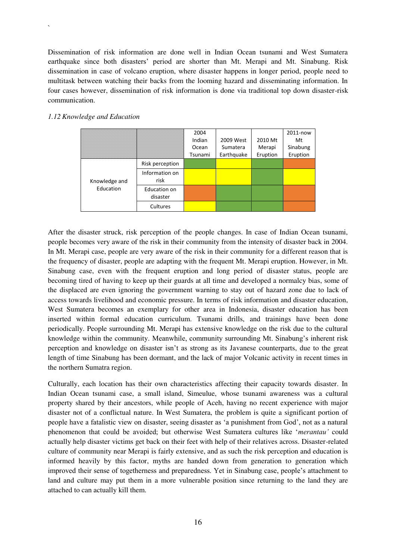Dissemination of risk information are done well in Indian Ocean tsunami and West Sumatera earthquake since both disasters' period are shorter than Mt. Merapi and Mt. Sinabung. Risk dissemination in case of volcano eruption, where disaster happens in longer period, people need to multitask between watching their backs from the looming hazard and disseminating information. In four cases however, dissemination of risk information is done via traditional top down disaster-risk communication.

#### *1.12 Knowledge and Education*

`

|                            |                          | 2004    |            |          | 2011-now |
|----------------------------|--------------------------|---------|------------|----------|----------|
|                            |                          | Indian  | 2009 West  | 2010 Mt  | Mt       |
|                            |                          | Ocean   | Sumatera   | Merapi   | Sinabung |
|                            |                          | Tsunami | Earthquake | Eruption | Eruption |
| Knowledge and<br>Education | Risk perception          |         |            |          |          |
|                            | Information on<br>risk   |         |            |          |          |
|                            | Education on<br>disaster |         |            |          |          |
|                            | Cultures                 |         |            |          |          |

After the disaster struck, risk perception of the people changes. In case of Indian Ocean tsunami, people becomes very aware of the risk in their community from the intensity of disaster back in 2004. In Mt. Merapi case, people are very aware of the risk in their community for a different reason that is the frequency of disaster, people are adapting with the frequent Mt. Merapi eruption. However, in Mt. Sinabung case, even with the frequent eruption and long period of disaster status, people are becoming tired of having to keep up their guards at all time and developed a normalcy bias, some of the displaced are even ignoring the government warning to stay out of hazard zone due to lack of access towards livelihood and economic pressure. In terms of risk information and disaster education, West Sumatera becomes an exemplary for other area in Indonesia, disaster education has been inserted within formal education curriculum. Tsunami drills, and trainings have been done periodically. People surrounding Mt. Merapi has extensive knowledge on the risk due to the cultural knowledge within the community. Meanwhile, community surrounding Mt. Sinabung's inherent risk perception and knowledge on disaster isn't as strong as its Javanese counterparts, due to the great length of time Sinabung has been dormant, and the lack of major Volcanic activity in recent times in the northern Sumatra region.

Culturally, each location has their own characteristics affecting their capacity towards disaster. In Indian Ocean tsunami case, a small island, Simeulue, whose tsunami awareness was a cultural property shared by their ancestors, while people of Aceh, having no recent experience with major disaster not of a conflictual nature. In West Sumatera, the problem is quite a significant portion of people have a fatalistic view on disaster, seeing disaster as 'a punishment from God', not as a natural phenomenon that could be avoided; but otherwise West Sumatera cultures like '*merantau'* could actually help disaster victims get back on their feet with help of their relatives across. Disaster-related culture of community near Merapi is fairly extensive, and as such the risk perception and education is informed heavily by this factor, myths are handed down from generation to generation which improved their sense of togetherness and preparedness. Yet in Sinabung case, people's attachment to land and culture may put them in a more vulnerable position since returning to the land they are attached to can actually kill them.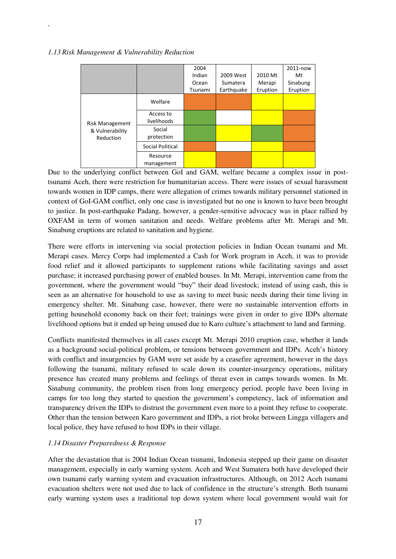#### *1.13 Risk Management & Vulnerability Reduction*

`

|                                                        |                          | 2004<br>Indian<br>Ocean<br>Tsunami | 2009 West<br>Sumatera<br>Earthquake | 2010 Mt<br>Merapi<br>Eruption | 2011-now<br>Mt<br>Sinabung<br>Eruption |
|--------------------------------------------------------|--------------------------|------------------------------------|-------------------------------------|-------------------------------|----------------------------------------|
| <b>Risk Management</b><br>& Vulnerability<br>Reduction | Welfare                  |                                    |                                     |                               |                                        |
|                                                        | Access to<br>livelihoods |                                    |                                     |                               |                                        |
|                                                        | Social<br>protection     |                                    |                                     |                               |                                        |
|                                                        | Social Political         |                                    |                                     |                               |                                        |
|                                                        | Resource<br>management   |                                    |                                     |                               |                                        |

Due to the underlying conflict between GoI and GAM, welfare became a complex issue in posttsunami Aceh, there were restriction for humanitarian access. There were issues of sexual harassment towards women in IDP camps, there were allegation of crimes towards military personnel stationed in context of GoI-GAM conflict, only one case is investigated but no one is known to have been brought to justice. In post-earthquake Padang, however, a gender-sensitive advocacy was in place rallied by OXFAM in term of women sanitation and needs. Welfare problems after Mt. Merapi and Mt. Sinabung eruptions are related to sanitation and hygiene.

There were efforts in intervening via social protection policies in Indian Ocean tsunami and Mt. Merapi cases. Mercy Corps had implemented a Cash for Work program in Aceh, it was to provide food relief and it allowed participants to supplement rations while facilitating savings and asset purchase; it increased purchasing power of enabled houses. In Mt. Merapi, intervention came from the government, where the government would "buy" their dead livestock; instead of using cash, this is seen as an alternative for household to use as saving to meet basic needs during their time living in emergency shelter. Mt. Sinabung case, however, there were no sustainable intervention efforts in getting household economy back on their feet; trainings were given in order to give IDPs alternate livelihood options but it ended up being unused due to Karo culture's attachment to land and farming.

Conflicts manifested themselves in all cases except Mt. Merapi 2010 eruption case, whether it lands as a background social-political problem, or tensions between government and IDPs. Aceh's history with conflict and insurgencies by GAM were set aside by a ceasefire agreement, however in the days following the tsunami, military refused to scale down its counter-insurgency operations, military presence has created many problems and feelings of threat even in camps towards women. In Mt. Sinabung community, the problem risen from long emergency period, people have been living in camps for too long they started to question the government's competency, lack of information and transparency driven the IDPs to distrust the government even more to a point they refuse to cooperate. Other than the tension between Karo government and IDPs, a riot broke between Lingga villagers and local police, they have refused to host IDPs in their village.

#### *1.14 Disaster Preparedness & Response*

After the devastation that is 2004 Indian Ocean tsunami, Indonesia stepped up their game on disaster management, especially in early warning system. Aceh and West Sumatera both have developed their own tsunami early warning system and evacuation infrastructures. Although, on 2012 Aceh tsunami evacuation shelters were not used due to lack of confidence in the structure's strength. Both tsunami early warning system uses a traditional top down system where local government would wait for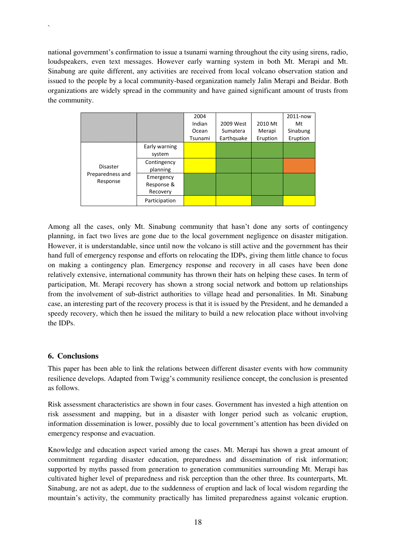national government's confirmation to issue a tsunami warning throughout the city using sirens, radio, loudspeakers, even text messages. However early warning system in both Mt. Merapi and Mt. Sinabung are quite different, any activities are received from local volcano observation station and issued to the people by a local community-based organization namely Jalin Merapi and Beidar. Both organizations are widely spread in the community and have gained significant amount of trusts from the community.

|                                                 |                                     | 2004<br>Indian<br>Ocean | 2009 West<br>Sumatera | 2010 Mt<br>Merapi | 2011-now<br>Mt<br>Sinabung |
|-------------------------------------------------|-------------------------------------|-------------------------|-----------------------|-------------------|----------------------------|
|                                                 |                                     | Tsunami                 | Earthquake            | Eruption          | Eruption                   |
| <b>Disaster</b><br>Preparedness and<br>Response | Early warning<br>system             |                         |                       |                   |                            |
|                                                 | Contingency<br>planning             |                         |                       |                   |                            |
|                                                 | Emergency<br>Response &<br>Recovery |                         |                       |                   |                            |
|                                                 | Participation                       |                         |                       |                   |                            |

Among all the cases, only Mt. Sinabung community that hasn't done any sorts of contingency planning, in fact two lives are gone due to the local government negligence on disaster mitigation. However, it is understandable, since until now the volcano is still active and the government has their hand full of emergency response and efforts on relocating the IDPs, giving them little chance to focus on making a contingency plan. Emergency response and recovery in all cases have been done relatively extensive, international community has thrown their hats on helping these cases. In term of participation, Mt. Merapi recovery has shown a strong social network and bottom up relationships from the involvement of sub-district authorities to village head and personalities. In Mt. Sinabung case, an interesting part of the recovery process is that it is issued by the President, and he demanded a speedy recovery, which then he issued the military to build a new relocation place without involving the IDPs.

#### **6. Conclusions**

`

This paper has been able to link the relations between different disaster events with how community resilience develops. Adapted from Twigg's community resilience concept, the conclusion is presented as follows.

Risk assessment characteristics are shown in four cases. Government has invested a high attention on risk assessment and mapping, but in a disaster with longer period such as volcanic eruption, information dissemination is lower, possibly due to local government's attention has been divided on emergency response and evacuation.

Knowledge and education aspect varied among the cases. Mt. Merapi has shown a great amount of commitment regarding disaster education, preparedness and dissemination of risk information; supported by myths passed from generation to generation communities surrounding Mt. Merapi has cultivated higher level of preparedness and risk perception than the other three. Its counterparts, Mt. Sinabung, are not as adept, due to the suddenness of eruption and lack of local wisdom regarding the mountain's activity, the community practically has limited preparedness against volcanic eruption.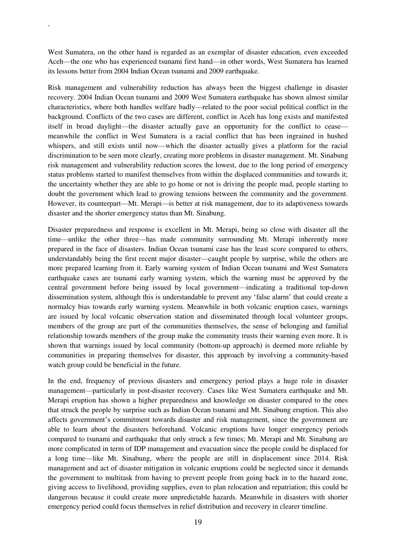West Sumatera, on the other hand is regarded as an exemplar of disaster education, even exceeded Aceh—the one who has experienced tsunami first hand—in other words, West Sumatera has learned its lessons better from 2004 Indian Ocean tsunami and 2009 earthquake.

`

Risk management and vulnerability reduction has always been the biggest challenge in disaster recovery. 2004 Indian Ocean tsunami and 2009 West Sumatera earthquake has shown almost similar characteristics, where both handles welfare badly—related to the poor social political conflict in the background. Conflicts of the two cases are different, conflict in Aceh has long exists and manifested itself in broad daylight—the disaster actually gave an opportunity for the conflict to cease meanwhile the conflict in West Sumatera is a racial conflict that has been ingrained in hushed whispers, and still exists until now—which the disaster actually gives a platform for the racial discrimination to be seen more clearly, creating more problems in disaster management. Mt. Sinabung risk management and vulnerability reduction scores the lowest, due to the long period of emergency status problems started to manifest themselves from within the displaced communities and towards it; the uncertainty whether they are able to go home or not is driving the people mad, people starting to doubt the government which lead to growing tensions between the community and the government. However, its counterpart—Mt. Merapi—is better at risk management, due to its adaptiveness towards disaster and the shorter emergency status than Mt. Sinabung.

Disaster preparedness and response is excellent in Mt. Merapi, being so close with disaster all the time—unlike the other three—has made community surrounding Mt. Merapi inherently more prepared in the face of disasters. Indian Ocean tsunami case has the least score compared to others, understandably being the first recent major disaster—caught people by surprise, while the others are more prepared learning from it. Early warning system of Indian Ocean tsunami and West Sumatera earthquake cases are tsunami early warning system, which the warning must be approved by the central government before being issued by local government—indicating a traditional top-down dissemination system, although this is understandable to prevent any 'false alarm' that could create a normalcy bias towards early warning system. Meanwhile in both volcanic eruption cases, warnings are issued by local volcanic observation station and disseminated through local volunteer groups, members of the group are part of the communities themselves, the sense of belonging and familial relationship towards members of the group make the community trusts their warning even more. It is shown that warnings issued by local community (bottom-up approach) is deemed more reliable by communities in preparing themselves for disaster, this approach by involving a community-based watch group could be beneficial in the future.

In the end, frequency of previous disasters and emergency period plays a huge role in disaster management—particularly in post-disaster recovery. Cases like West Sumatera earthquake and Mt. Merapi eruption has shown a higher preparedness and knowledge on disaster compared to the ones that struck the people by surprise such as Indian Ocean tsunami and Mt. Sinabung eruption. This also affects government's commitment towards disaster and risk management, since the government are able to learn about the disasters beforehand. Volcanic eruptions have longer emergency periods compared to tsunami and earthquake that only struck a few times; Mt. Merapi and Mt. Sinabung are more complicated in term of IDP management and evacuation since the people could be displaced for a long time—like Mt. Sinabung, where the people are still in displacement since 2014. Risk management and act of disaster mitigation in volcanic eruptions could be neglected since it demands the government to multitask from having to prevent people from going back in to the hazard zone, giving access to livelihood, providing supplies, even to plan relocation and repatriation; this could be dangerous because it could create more unpredictable hazards. Meanwhile in disasters with shorter emergency period could focus themselves in relief distribution and recovery in clearer timeline.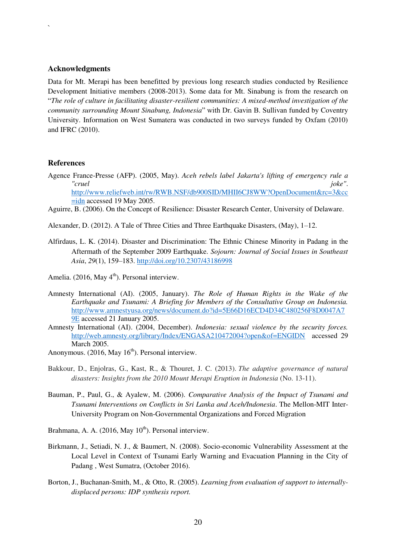#### **Acknowledgments**

`

Data for Mt. Merapi has been benefitted by previous long research studies conducted by Resilience Development Initiative members (2008-2013). Some data for Mt. Sinabung is from the research on "*The role of culture in facilitating disaster-resilient communities: A mixed-method investigation of the community surrounding Mount Sinabung, Indonesia*" with Dr. Gavin B. Sullivan funded by Coventry University. Information on West Sumatera was conducted in two surveys funded by Oxfam (2010) and IFRC (2010).

#### **References**

Agence France-Presse (AFP). (2005, May). *Aceh rebels label Jakarta's lifting of emergency rule a "cruel joke"*. [http://www.reliefweb.int/rw/RWB.NSF/db900SID/MHII6CJ8WW?OpenDocument&rc=3&cc](http://www.reliefweb.int/rw/RWB.NSF/db900SID/MHII6CJ8WW?OpenDocument&rc=3&cc=idn) [=idn](http://www.reliefweb.int/rw/RWB.NSF/db900SID/MHII6CJ8WW?OpenDocument&rc=3&cc=idn) accessed 19 May 2005.

Aguirre, B. (2006). On the Concept of Resilience: Disaster Research Center, University of Delaware.

Alexander, D. (2012). A Tale of Three Cities and Three Earthquake Disasters, (May), 1–12.

- Alfirdaus, L. K. (2014). Disaster and Discrimination: The Ethnic Chinese Minority in Padang in the Aftermath of the September 2009 Earthquake. *Sojourn: Journal of Social Issues in Southeast Asia*, *29*(1), 159–183.<http://doi.org/10.2307/43186998>
- Amelia. (2016, May  $4^{\text{th}}$ ). Personal interview.
- Amnesty International (AI). (2005, January). *The Role of Human Rights in the Wake of the Earthquake and Tsunami: A Briefing for Members of the Consultative Group on Indonesia.*  [http://www.amnestyusa.org/news/document.do?id=5E66D16ECD4D34C480256F8D0047A7](http://www.amnestyusa.org/news/document.do?id=5E66D16ECD4D34C480256F8D0047A79E) [9E](http://www.amnestyusa.org/news/document.do?id=5E66D16ECD4D34C480256F8D0047A79E) accessed 21 January 2005.
- Amnesty International (AI). (2004, December). *Indonesia: sexual violence by the security forces.*  <http://web.amnesty.org/library/Index/ENGASA210472004?open&of=ENGIDN> accessed 29 March 2005.
- Anonymous. (2016, May  $16<sup>th</sup>$ ). Personal interview.
- Bakkour, D., Enjolras, G., Kast, R., & Thouret, J. C. (2013). *The adaptive governance of natural disasters: Insights from the 2010 Mount Merapi Eruption in Indonesia* (No. 13-11).
- Bauman, P., Paul, G., & Ayalew, M. (2006). *Comparative Analysis of the Impact of Tsunami and Tsunami Interventions on Conflicts in Sri Lanka and Aceh/Indonesia*. The Mellon-MIT Inter-University Program on Non-Governmental Organizations and Forced Migration
- Brahmana, A. A. (2016, May  $10^{th}$ ). Personal interview.
- Birkmann, J., Setiadi, N. J., & Baumert, N. (2008). Socio-economic Vulnerability Assessment at the Local Level in Context of Tsunami Early Warning and Evacuation Planning in the City of Padang , West Sumatra, (October 2016).
- Borton, J., Buchanan-Smith, M., & Otto, R. (2005). *Learning from evaluation of support to internallydisplaced persons: IDP synthesis report.*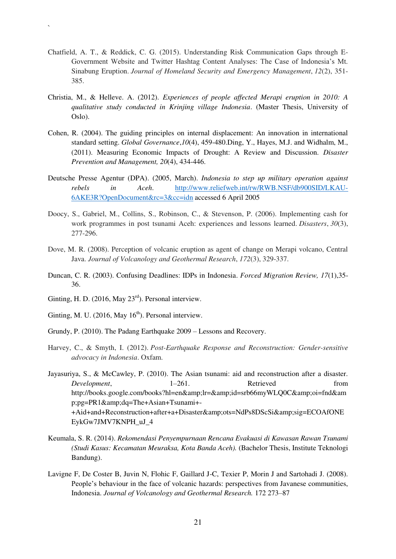- Chatfield, A. T., & Reddick, C. G. (2015). Understanding Risk Communication Gaps through E-Government Website and Twitter Hashtag Content Analyses: The Case of Indonesia's Mt. Sinabung Eruption. *Journal of Homeland Security and Emergency Management*, *12*(2), 351- 385.
- Christia, M., & Helleve. A. (2012). *Experiences of people affected Merapi eruption in 2010: A qualitative study conducted in Krinjing village Indonesia*. (Master Thesis, University of Oslo).
- Cohen, R. (2004). The guiding principles on internal displacement: An innovation in international standard setting. *Global Governance*,*10*(4), 459-480.Ding, Y., Hayes, M.J. and Widhalm, M., (2011). Measuring Economic Impacts of Drought: A Review and Discussion. *Disaster Prevention and Management, 20*(4), 434-446.
- Deutsche Presse Agentur (DPA). (2005, March). *Indonesia to step up military operation against rebels in Aceh*. [http://www.reliefweb.int/rw/RWB.NSF/db900SID/LKAU-](http://www.reliefweb.int/rw/RWB.NSF/db900SID/LKAU-6AKE3R?OpenDocument&rc=3&cc=idn)[6AKE3R?OpenDocument&rc=3&cc=idn](http://www.reliefweb.int/rw/RWB.NSF/db900SID/LKAU-6AKE3R?OpenDocument&rc=3&cc=idn) accessed 6 April 2005
- Doocy, S., Gabriel, M., Collins, S., Robinson, C., & Stevenson, P. (2006). Implementing cash for work programmes in post tsunami Aceh: experiences and lessons learned. *Disasters*, *30*(3), 277-296.
- Dove, M. R. (2008). Perception of volcanic eruption as agent of change on Merapi volcano, Central Java. *Journal of Volcanology and Geothermal Research*, *172*(3), 329-337.
- Duncan, C. R. (2003). Confusing Deadlines: IDPs in Indonesia. *Forced Migration Review, 17*(1),35- 36.
- Ginting, H. D. (2016, May  $23<sup>rd</sup>$ ). Personal interview.

`

- Ginting, M. U. (2016, May  $16<sup>th</sup>$ ). Personal interview.
- Grundy, P. (2010). The Padang Earthquake 2009 Lessons and Recovery.
- Harvey, C., & Smyth, I. (2012). *Post-Earthquake Response and Reconstruction: Gender-sensitive advocacy in Indonesia*. Oxfam.
- Jayasuriya, S., & McCawley, P. (2010). The Asian tsunami: aid and reconstruction after a disaster. *Development*,  $1-261$ . Retrieved from http://books.google.com/books?hl=en&lr=&id=srb66myWLQ0C&oi=fnd&am p;pg=PR1&dq=The+Asian+Tsunami+-+Aid+and+Reconstruction+after+a+Disaster&ots=NdPs8DScSi&sig=ECOAfONE EykGw7JMV7KNPH\_uJ\_4
- Keumala, S. R. (2014). *Rekomendasi Penyempurnaan Rencana Evakuasi di Kawasan Rawan Tsunami (Studi Kasus: Kecamatan Meuraksa, Kota Banda Aceh).* (Bachelor Thesis, Institute Teknologi Bandung).
- Lavigne F, De Coster B, Juvin N, Flohic F, Gaillard J-C, Texier P, Morin J and Sartohadi J. (2008). People's behaviour in the face of volcanic hazards: perspectives from Javanese communities, Indonesia. *Journal of Volcanology and Geothermal Research.* 172 273–87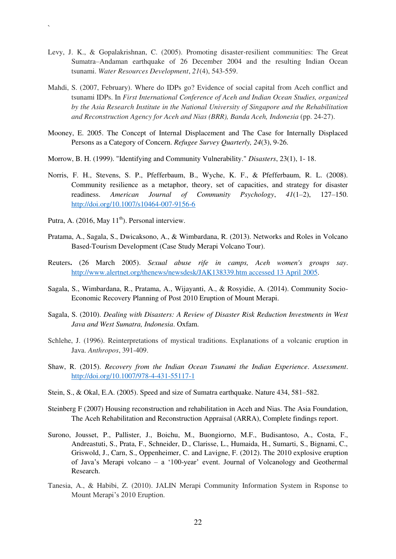- Levy, J. K., & Gopalakrishnan, C. (2005). Promoting disaster-resilient communities: The Great Sumatra–Andaman earthquake of 26 December 2004 and the resulting Indian Ocean tsunami. *Water Resources Development*, *21*(4), 543-559.
- Mahdi, S. (2007, February). Where do IDPs go? Evidence of social capital from Aceh conflict and tsunami IDPs. In *First International Conference of Aceh and Indian Ocean Studies, organized by the Asia Research Institute in the National University of Singapore and the Rehabilitation and Reconstruction Agency for Aceh and Nias (BRR), Banda Aceh, Indonesia* (pp. 24-27).
- Mooney, E. 2005. The Concept of Internal Displacement and The Case for Internally Displaced Persons as a Category of Concern. *Refugee Survey Quarterly, 24*(3), 9-26.
- Morrow, B. H. (1999). "Identifying and Community Vulnerability." *Disasters*, 23(1), 1- 18.
- Norris, F. H., Stevens, S. P., Pfefferbaum, B., Wyche, K. F., & Pfefferbaum, R. L. (2008). Community resilience as a metaphor, theory, set of capacities, and strategy for disaster readiness. *American Journal of Community Psychology*, *41*(1–2), 127–150. <http://doi.org/10.1007/s10464-007-9156-6>
- Putra, A. (2016, May  $11<sup>th</sup>$ ). Personal interview.

`

- Pratama, A., Sagala, S., Dwicaksono, A., & Wimbardana, R. (2013). Networks and Roles in Volcano Based-Tourism Development (Case Study Merapi Volcano Tour).
- Reuters**.** (26 March 2005). *Sexual abuse rife in camps, Aceh women's groups say*. [http://www.alertnet.org/thenews/newsdesk/JAK138339.htm accessed 13 April 2005.](http://www.alertnet.org/thenews/newsdesk/JAK138339.htm%20accessed%2013%20April%202005)
- Sagala, S., Wimbardana, R., Pratama, A., Wijayanti, A., & Rosyidie, A. (2014). Community Socio-Economic Recovery Planning of Post 2010 Eruption of Mount Merapi.
- Sagala, S. (2010). *Dealing with Disasters: A Review of Disaster Risk Reduction Investments in West Java and West Sumatra, Indonesia*. Oxfam.
- Schlehe, J. (1996). Reinterpretations of mystical traditions. Explanations of a volcanic eruption in Java. *Anthropos*, 391-409.
- Shaw, R. (2015). *Recovery from the Indian Ocean Tsunami the Indian Experience*. *Assessment*. <http://doi.org/10.1007/978-4-431-55117-1>
- Stein, S., & Okal, E.A. (2005). Speed and size of Sumatra earthquake. Nature 434, 581–582.
- Steinberg F (2007) Housing reconstruction and rehabilitation in Aceh and Nias. The Asia Foundation, The Aceh Rehabilitation and Reconstruction Appraisal (ARRA), Complete findings report.
- Surono, Jousset, P., Pallister, J., Boichu, M., Buongiorno, M.F., Budisantoso, A., Costa, F., Andreastuti, S., Prata, F., Schneider, D., Clarisse, L., Humaida, H., Sumarti, S., Bignami, C., Griswold, J., Carn, S., Oppenheimer, C. and Lavigne, F. (2012). The 2010 explosive eruption of Java's Merapi volcano – a '100-year' event. Journal of Volcanology and Geothermal Research.
- Tanesia, A., & Habibi, Z. (2010). JALIN Merapi Community Information System in Rsponse to Mount Merapi's 2010 Eruption.